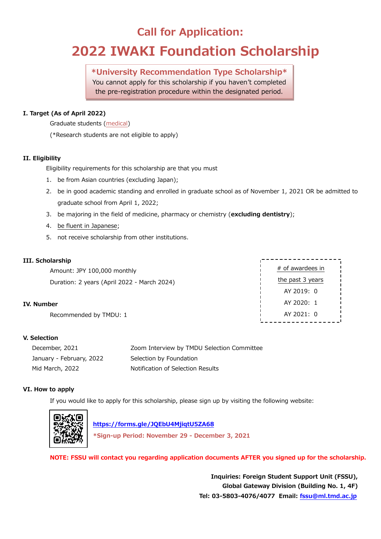## **Call for Application:**

# **2022 IWAKI Foundation Scholarship**

**\*University Recommendation Type Scholarship\*** You cannot apply for this scholarship if you haven't completed the pre-registration procedure within the designated period.

### **I. Target (As of April 2022)**

Graduate students (medical)

(\*Research students are not eligible to apply)

### **II. Eligibility**

Eligibility requirements for this scholarship are that you must

- 1. be from Asian countries (excluding Japan);
- 2. be in good academic standing and enrolled in graduate school as of November 1, 2021 OR be admitted to graduate school from April 1, 2022;
- 3. be majoring in the field of medicine, pharmacy or chemistry (**excluding dentistry**);
- 4. be fluent in Japanese;
- 5. not receive scholarship from other institutions.

### **III. Scholarship**

Amount: JPY 100,000 monthly Duration: 2 years (April 2022 - March 2024)

### **IV. Number**

Recommended by TMDU: 1

### **V. Selection**

| December, 2021           | Zoom Interview by TMDU Selection Committee |
|--------------------------|--------------------------------------------|
| January - February, 2022 | Selection by Foundation                    |
| Mid March, 2022          | Notification of Selection Results          |

### **VI. How to apply**

If you would like to apply for this scholarship, please sign up by visiting the following website:



 **<https://forms.gle/JQEbU4MjiqtU5ZA68>**

**\*Sign-up Period: November 29 - December 3, 2021**

**NOTE: FSSU will contact you regarding application documents AFTER you signed up for the scholarship.**

**Inquiries: Foreign Student Support Unit (FSSU), Global Gateway Division (Building No. 1, 4F) Tel: 03-5803-4076/4077 Email: [fssu@ml.tmd.ac.jp](mailto:fssu@ml.tmd.ac.jp)**

# of awardees in the past 3 years AY 2019: 0 AY 2020: 1 AY 2021: 0